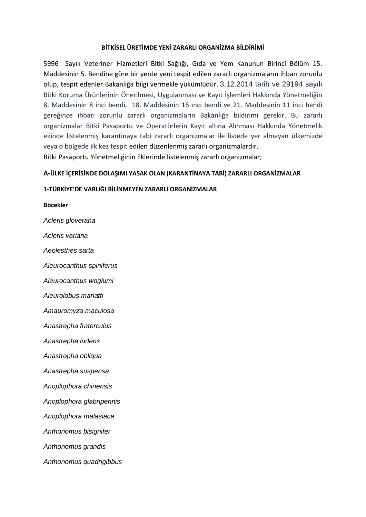# **BİTKİSEL ÜRETİMDE YENİ ZARARLI ORGANİZMA BİLDİRİMİ**

5996 Sayılı Veteriner Hizmetleri Bitki Sağlığı, Gıda ve Yem Kanunun Birinci Bölüm 15. Maddesinin 5. Bendine göre bir yerde yeni tespit edilen zararlı organizmaların ihbarı zorunlu olup, tespit edenler Bakanlığa bilgi vermekle yükümlüdür. 3.12.2014 tarih ve 29194 sayılı Bitki Koruma Ürünlerinin Önerilmesi, Uygulanması ve Kayıt İşlemleri Hakkında Yönetmeliğin 8. Maddesinin 8 inci bendi, 18. Maddesinin 16 ıncı bendi ve 21. Maddesinin 11 inci bendi gereğince ihbarı zorunlu zararlı organizmaların Bakanlığa bildirimi gerekir. Bu zararlı organizmalar Bitki Pasaportu ve Operatörlerin Kayıt altına Alınması Hakkında Yönetmelik ekinde listelenmiş karantinaya tabi zararlı organizmalar ile listede yer almayan ülkemizde veya o bölgede ilk kez tespit edilen düzenlenmiş zararlı organizmalardır. Bitki Pasaportu Yönetmeliğinin Eklerinde listelenmiş zararlı organizmalar;

# **A-ÜLKE İÇERİSİNDE DOLAŞIMI YASAK OLAN (KARANTİNAYA TABİ) ZARARLI ORGANİZMALAR**

## **1-TÜRKİYE'DE VARLIĞI BİLİNMEYEN ZARARLI ORGANİZMALAR**

**Böcekler** *Acleris gloverana Acleris variana Aeolesthes sarta Aleurocanthus spiniferus Aleurocanthus woglumi Aleurolobus marlatti Amauromyza maculosa Anastrepha fraterculus Anastrepha ludens Anastrepha obliqua Anastrepha suspensa Anoplophora chinensis Anoplophora glabripennis Anoplophora malasiaca Anthonomus bisignifer Anthonomus grandis Anthonomus quadrigibbus*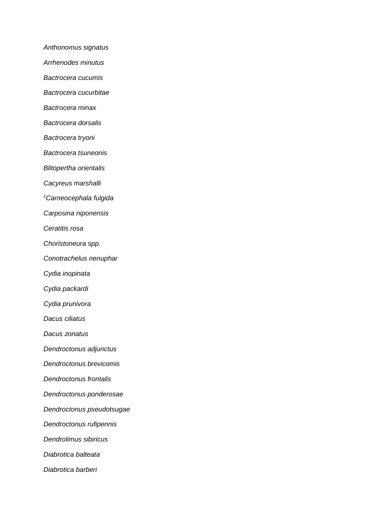*Anthonomus signatus*

*Arrhenodes minutus*

*Bactrocera cucumis*

*Bactrocera cucurbitae*

*Bactrocera minax*

*Bactrocera dorsalis*

*Bactrocera tryoni*

*Bactrocera tsuneonis*

*Blitopertha orientalis*

*Cacyreus marshalli*

*<sup>1</sup>Carneocephala fulgida*

*Carposina niponensis*

*Ceratitis rosa*

*Choristoneura spp.*

*Conotrachelus nenuphar*

*Cydia inopinata*

*Cydia packardi*

*Cydia prunivora*

*Dacus ciliatus*

*Dacus zonatus*

*Dendroctonus adjunctus*

*Dendroctonus brevicomis*

*Dendroctonus frontalis*

*Dendroctonus ponderosae*

*Dendroctonus pseudotsugae*

*Dendroctonus rufipennis*

*Dendrolimus sibiricus*

*Diabrotica balteata*

*Diabrotica barberi*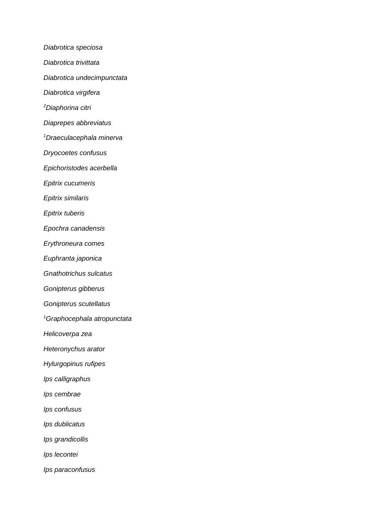*Diabrotica speciosa Diabrotica trivittata Diabrotica undecimpunctata Diabrotica virgifera <sup>2</sup>Diaphorina citri Diaprepes abbreviatus <sup>1</sup>Draeculacephala minerva Dryocoetes confusus Epichoristodes acerbella Epitrix cucumeris Epitrix similaris Epitrix tuberis Epochra canadensis Erythroneura comes Euphranta japonica Gnathotrichus sulcatus Gonipterus gibberus Gonipterus scutellatus <sup>1</sup>Graphocephala atropunctata Helicoverpa zea Heteronychus arator Hylurgopinus rufipes Ips calligraphus Ips cembrae Ips confusus Ips dublicatus Ips grandicollis Ips lecontei Ips paraconfusus*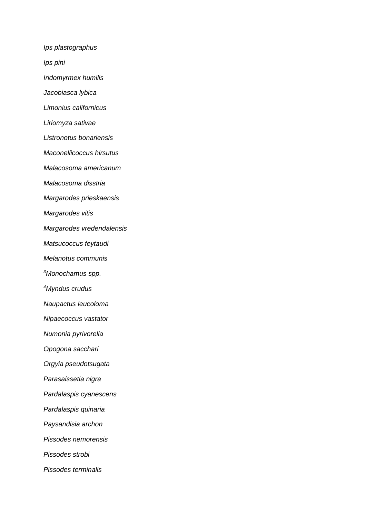*Ips plastographus*

*Ips pini*

*Iridomyrmex humilis*

*Jacobiasca lybica*

*Limonius californicus*

*Liriomyza sativae*

*Listronotus bonariensis*

*Maconellicoccus hirsutus*

*Malacosoma americanum*

*Malacosoma disstria*

*Margarodes prieskaensis*

*Margarodes vitis*

*Margarodes vredendalensis*

*Matsucoccus feytaudi*

*Melanotus communis*

*<sup>3</sup>Monochamus spp.*

*<sup>4</sup>Myndus crudus*

*Naupactus leucoloma*

*Nipaecoccus vastator*

*Numonia pyrivorella*

*Opogona sacchari*

*Orgyia pseudotsugata*

*Parasaissetia nigra*

*Pardalaspis cyanescens*

*Pardalaspis quinaria*

*Paysandisia archon*

*Pissodes nemorensis*

*Pissodes strobi*

*Pissodes terminalis*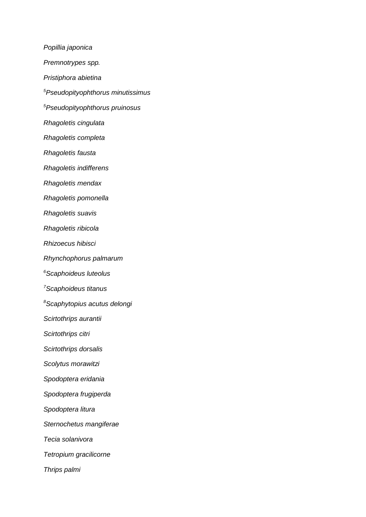*Popillia japonica Premnotrypes spp. Pristiphora abietina <sup>5</sup>Pseudopityophthorus minutissimus <sup>5</sup>Pseudopityophthorus pruinosus Rhagoletis cingulata Rhagoletis completa Rhagoletis fausta Rhagoletis indifferens Rhagoletis mendax Rhagoletis pomonella Rhagoletis suavis Rhagoletis ribicola Rhizoecus hibisci Rhynchophorus palmarum <sup>6</sup>Scaphoideus luteolus <sup>7</sup>Scaphoideus titanus <sup>8</sup>Scaphytopius acutus delongi Scirtothrips aurantii Scirtothrips citri Scirtothrips dorsalis Scolytus morawitzi Spodoptera eridania Spodoptera frugiperda Spodoptera litura Sternochetus mangiferae Tecia solanivora Tetropium gracilicorne Thrips palmi*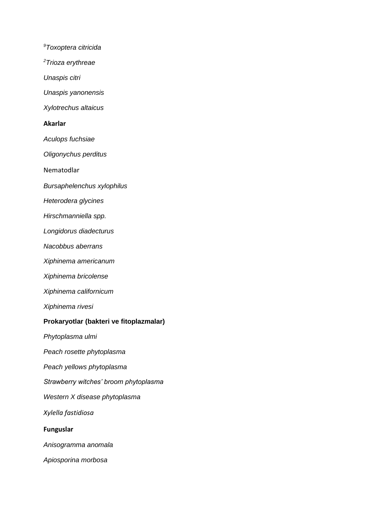*<sup>9</sup>Toxoptera citricida <sup>2</sup>Trioza erythreae Unaspis citri Unaspis yanonensis Xylotrechus altaicus* **Akarlar** *Aculops fuchsiae Oligonychus perditus* Nematodlar *Bursaphelenchus xylophilus Heterodera glycines Hirschmanniella spp. Longidorus diadecturus Nacobbus aberrans Xiphinema americanum Xiphinema bricolense Xiphinema californicum Xiphinema rivesi* **Prokaryotlar (bakteri ve fitoplazmalar)** *Phytoplasma ulmi Peach rosette phytoplasma Peach yellows phytoplasma Strawberry witches' broom phytoplasma Western X disease phytoplasma Xylella fastidiosa* **Funguslar** *Anisogramma anomala Apiosporina morbosa*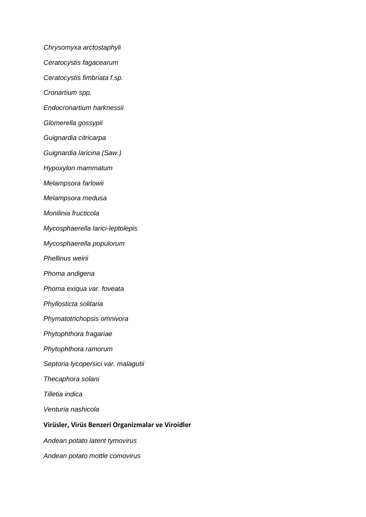*Chrysomyxa arctostaphyli*

- *Ceratocystis fagacearum*
- *Ceratocystis fimbriata f.sp.*
- *Cronartium spp.*
- *Endocronartium harknessii*
- *Glomerella gossypii*
- *Guignardia citricarpa*
- *Guignardia laricina (Saw.)*
- *Hypoxylon mammatum*
- *Melampsora farlowii*
- *Melampsora medusa*
- *Monilinia fructicola*
- *Mycosphaerella larici-leptolepis*
- *Mycosphaerella populorum*
- *Phellinus weirii*
- *Phoma andigena*
- *Phoma exiqua var. foveata*
- *Phyllosticta solitaria*
- *Phymatotrichopsis omnivora*
- *Phytophthora fragariae*
- *Phytophthora ramorum*
- *Septoria lycopersici var. malagutii*
- *Thecaphora solani*
- *Tilletia indica*
- *Venturia nashicola*

## **Virüsler, Virüs Benzeri Organizmalar ve Viroidler**

- *Andean potato latent tymovirus*
- *Andean potato mottle comovirus*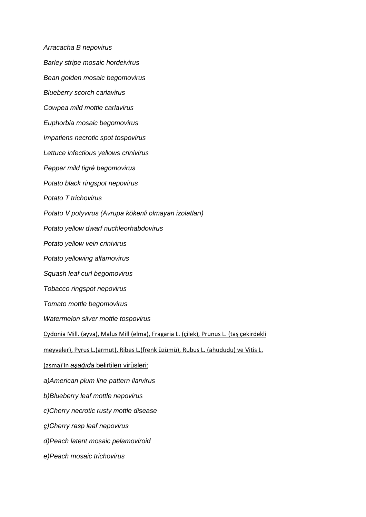*Arracacha B nepovirus Barley stripe mosaic hordeivirus Bean golden mosaic begomovirus Blueberry scorch carlavirus Cowpea mild mottle carlavirus Euphorbia mosaic begomovirus Impatiens necrotic spot tospovirus Lettuce infectious yellows crinivirus Pepper mild tigré begomovirus Potato black ringspot nepovirus Potato T trichovirus Potato V potyvirus (Avrupa kökenli olmayan izolatları) Potato yellow dwarf nuchleorhabdovirus Potato yellow vein crinivirus Potato yellowing alfamovirus Squash leaf curl begomovirus Tobacco ringspot nepovirus Tomato mottle begomovirus Watermelon silver mottle tospovirus* Cydonia Mill. (ayva), Malus Mill (elma), Fragaria L. (çilek), Prunus L. (taş çekirdekli meyveler), Pyrus L.(armut), Ribes L.(frenk üzümü), Rubus L. (ahududu) ve Vitis L. (asma)'in *aşağıda* belirtilen virüsleri: *a)American plum line pattern ilarvirus b)Blueberry leaf mottle nepovirus c)Cherry necrotic rusty mottle disease ç)Cherry rasp leaf nepovirus d)Peach latent mosaic pelamoviroid e)Peach mosaic trichovirus*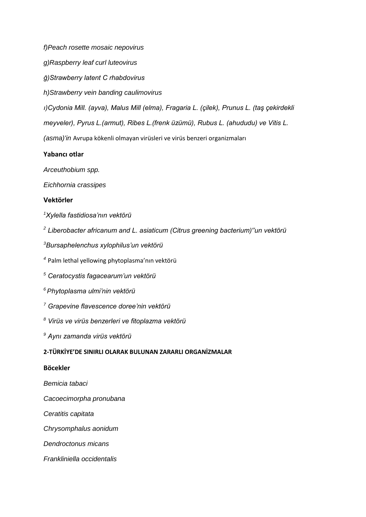*f)Peach rosette mosaic nepovirus*

*g)Raspberry leaf curl luteovirus*

*ğ)Strawberry latent C rhabdovirus*

*h)Strawberry vein banding caulimovirus*

*ı)Cydonia Mill. (ayva), Malus Mill (elma), Fragaria L. (çilek), Prunus L. (taş çekirdekli meyveler), Pyrus L.(armut), Ribes L.(frenk üzümü), Rubus L. (ahududu) ve Vitis L.*

*(asma)'in* Avrupa kökenli olmayan virüsleri ve virüs benzeri organizmaları

## **Yabancı otlar**

*Arceuthobium spp.*

*Eichhornia crassipes*

## **Vektörler**

*<sup>1</sup>Xylella fastidiosa'nın vektörü*

*<sup>2</sup> Liberobacter africanum and L. asiaticum (Citrus greening bacterium)''un vektörü*

*<sup>3</sup>Bursaphelenchus xylophilus'un vektörü*

*4* Palm lethal yellowing phytoplasma'nın vektörü

*<sup>5</sup> Ceratocystis fagacearum'un vektörü*

*<sup>6</sup>Phytoplasma ulmi'nin vektörü*

*<sup>7</sup> Grapevine flavescence doree'nin vektörü*

*<sup>8</sup> Virüs ve virüs benzerleri ve fitoplazma vektörü*

*<sup>9</sup> Aynı zamanda virüs vektörü*

#### **2-TÜRKİYE'DE SINIRLI OLARAK BULUNAN ZARARLI ORGANİZMALAR**

## **Böcekler**

*Bemicia tabaci*

*Cacoecimorpha pronubana*

*Ceratitis capitata*

*Chrysomphalus aonidum*

*Dendroctonus micans*

*Frankliniella occidentalis*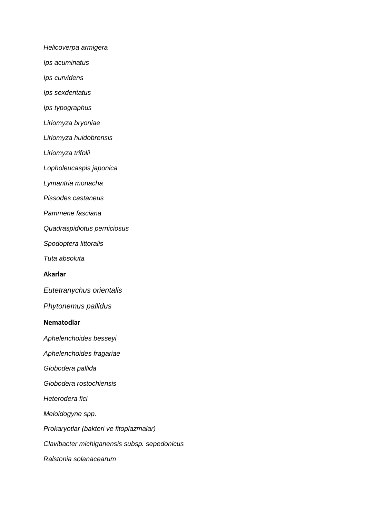*Helicoverpa armigera*

*Ips acuminatus*

*Ips curvidens*

*Ips sexdentatus*

*Ips typographus*

*Liriomyza bryoniae*

*Liriomyza huidobrensis*

*Liriomyza trifolii*

*Lopholeucaspis japonica*

*Lymantria monacha*

*Pissodes castaneus*

*Pammene fasciana*

*Quadraspidiotus perniciosus*

*Spodoptera littoralis*

*Tuta absoluta*

**Akarlar**

*Eutetranychus orientalis*

*Phytonemus pallidus*

#### **Nematodlar**

*Aphelenchoides besseyi*

*Aphelenchoides fragariae*

*Globodera pallida*

*Globodera rostochiensis*

*Heterodera fici*

*Meloidogyne spp.*

*Prokaryotlar (bakteri ve fitoplazmalar)*

*Clavibacter michiganensis subsp. sepedonicus*

*Ralstonia solanacearum*